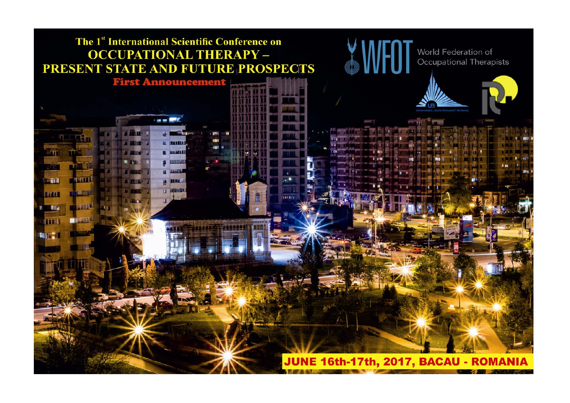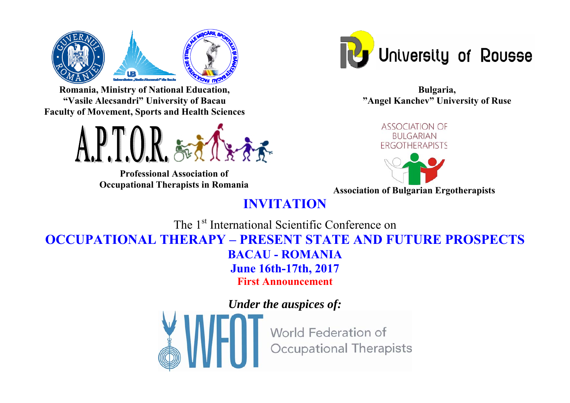

**Romania, Ministry of National Education, "Vasile Alecsandri" University of Bacau Faculty of Movement, Sports and Health Sciences** 



**Professional Association of** 



**Bulgaria, "Angel Kanchev" University of Ruse** 



**Occupational Therapists in Romania Association of Bulgarian Ergotherapists** 

# **INVITATION**

The 1<sup>st</sup> International Scientific Conference on **OCCUPATIONAL THERAPY – PRESENT STATE AND FUTURE PROSPECTS BACAU - ROMANIA June 16th-17th, 2017** 

**First Announcement** 

*Under the auspices of:*